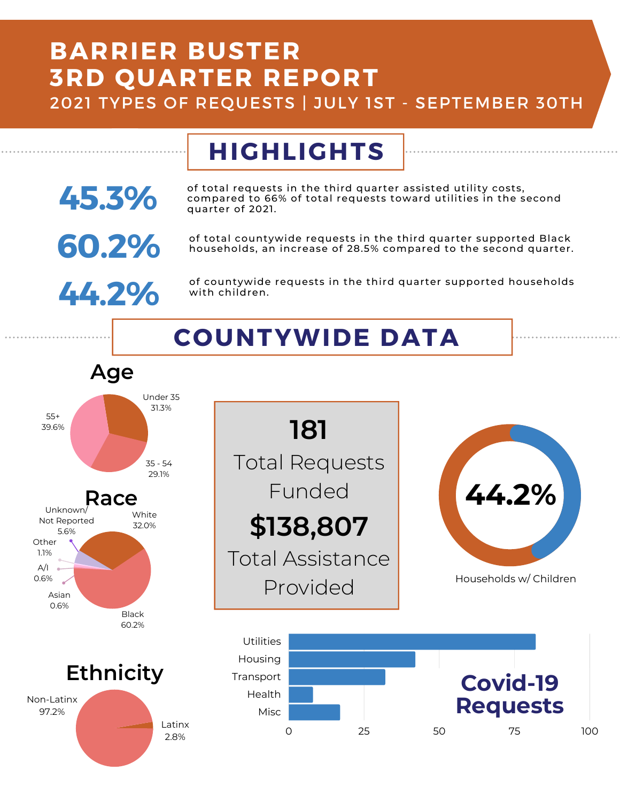## **BARRIER BUSTER 3RD QUARTER REPORT**

2021 TYPES OF REQUESTS | JULY 1ST - SEPTEMBER 30TH

#### **HIGHLIGHTS** of total requests in the third quarter assisted utility costs, compared to 66% of total requests toward utilities in the second quarter of 2021. **45.3%**

**60.2%** of total countywide requests in the third quarter supported Black<br>households, an increase of 28.5% compared to the second quarter. households, an increase of 28.5% compared to the second quarter.



of countywide requests in the third quarter supported households with children.

# **COUNTYWIDE DATA**

**\$138,807**

**181**

Total Requests

Funded

Total Assistance

Provided



97.2%

Latinx 2.8%



Households w/ Children

**44.2%**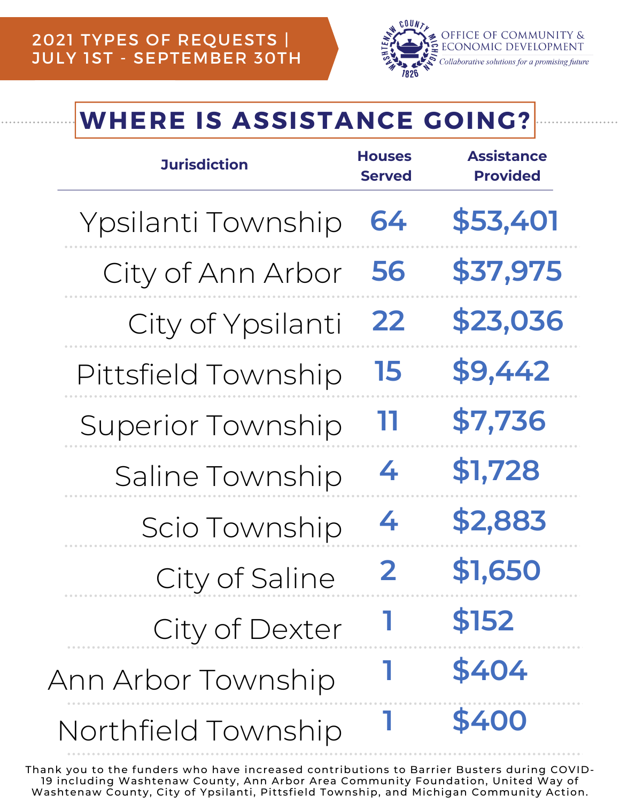

## **WHERE IS ASSISTANCE GOING?**

| <b>Jurisdiction</b>      | <b>Houses</b><br><b>Served</b> | <b>Assistance</b><br><b>Provided</b> |
|--------------------------|--------------------------------|--------------------------------------|
| Ypsilanti Township       | 64                             | \$53,401                             |
| City of Ann Arbor        | 56                             | \$37,975                             |
| City of Ypsilanti        | 22                             | \$23,036                             |
| Pittsfield Township      | 15                             | \$9,442                              |
| <b>Superior Township</b> | דו                             | \$7,736                              |
| Saline Township          | 4                              | \$1,728                              |
| Scio Township            | 4                              | \$2,883                              |
| City of Saline           | $\mathbf{2}$                   | \$1,650                              |
| City of Dexter           |                                | \$152                                |
| Ann Arbor Township       |                                | \$404                                |
| Northfield Township      |                                | \$400                                |

Thank you to the funders who have increased contributions to Barrier Busters during COVID-19 including Washtenaw County, Ann Arbor Area Community Foundation, United Way of Washtenaw County, City of Ypsilanti, Pittsfield Township, and Michigan Community Action.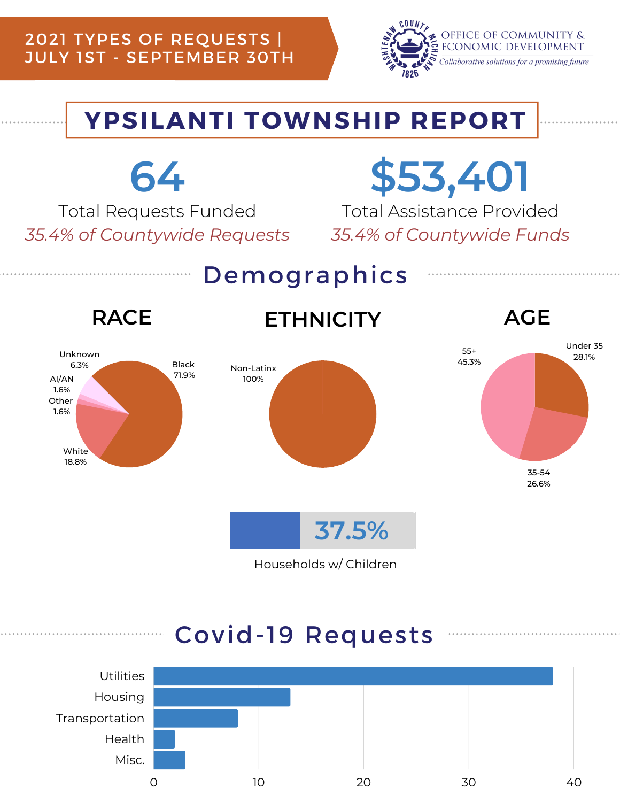### 2021 TYPES OF REQUESTS | JULY 1ST - SEPTEMBER 30TH



## **YPSILANTI TOWNSHIP REPORT**



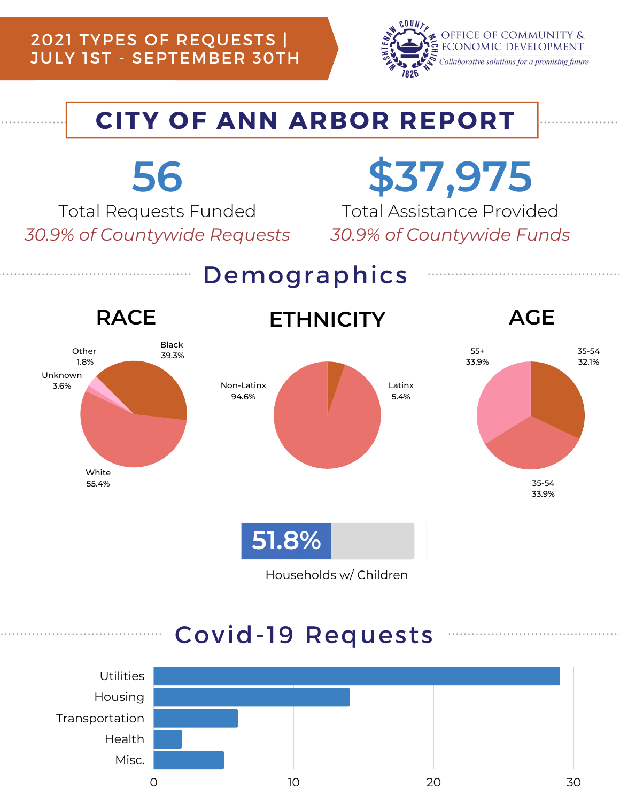### 2021 TYPES OF REQUESTS | JULY 1ST - SEPTEMBER 30TH



32.1%

## **CITY OF ANN ARBOR REPORT**



Households w/ Children

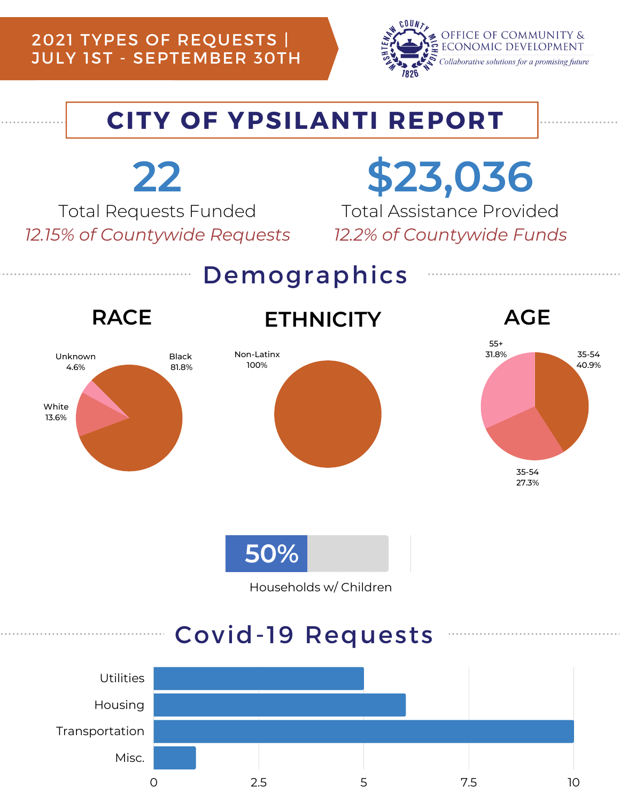### 2021 TYPES OF REQUESTS | JULY 1ST - SEPTEMBER 30TH



### **CITY OF YPSILANTI REPORT**



Households w/ Children